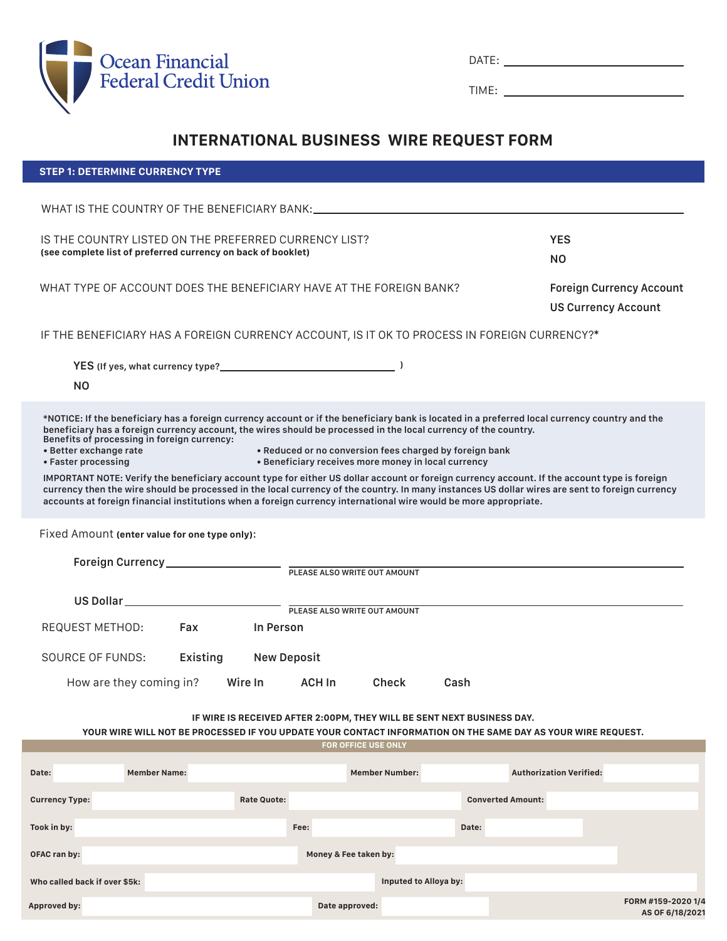

**STEP 1: DETERMINE CURRENCY TYPE**

| $-$<br>$\cdot$ . $-$ . |  |
|------------------------|--|
|                        |  |

TIME:

# **INTERNATIONAL BUSINESS WIRE REQUEST FORM**

| IS THE COUNTRY LISTED ON THE PREFERRED CURRENCY LIST?<br><b>YES</b><br>(see complete list of preferred currency on back of booklet)<br>N <sub>O</sub>                                                                                                                                                                                                                                                                                                                                                                                                                                                                                                                                                                                                                                                                                                                                                      |  |  |  |  |  |  |  |
|------------------------------------------------------------------------------------------------------------------------------------------------------------------------------------------------------------------------------------------------------------------------------------------------------------------------------------------------------------------------------------------------------------------------------------------------------------------------------------------------------------------------------------------------------------------------------------------------------------------------------------------------------------------------------------------------------------------------------------------------------------------------------------------------------------------------------------------------------------------------------------------------------------|--|--|--|--|--|--|--|
| WHAT TYPE OF ACCOUNT DOES THE BENEFICIARY HAVE AT THE FOREIGN BANK?<br><b>Foreign Currency Account</b><br><b>US Currency Account</b>                                                                                                                                                                                                                                                                                                                                                                                                                                                                                                                                                                                                                                                                                                                                                                       |  |  |  |  |  |  |  |
| IF THE BENEFICIARY HAS A FOREIGN CURRENCY ACCOUNT, IS IT OK TO PROCESS IN FOREIGN CURRENCY?*                                                                                                                                                                                                                                                                                                                                                                                                                                                                                                                                                                                                                                                                                                                                                                                                               |  |  |  |  |  |  |  |
| YES (If yes, what currency type?<br>)<br>ΝO                                                                                                                                                                                                                                                                                                                                                                                                                                                                                                                                                                                                                                                                                                                                                                                                                                                                |  |  |  |  |  |  |  |
| *NOTICE: If the beneficiary has a foreign currency account or if the beneficiary bank is located in a preferred local currency country and the<br>beneficiary has a foreign currency account, the wires should be processed in the local currency of the country.<br>Benefits of processing in foreign currency:<br>• Better exchange rate<br>• Reduced or no conversion fees charged by foreign bank<br>• Beneficiary receives more money in local currency<br>• Faster processing<br>IMPORTANT NOTE: Verify the beneficiary account type for either US dollar account or foreign currency account. If the account type is foreign<br>currency then the wire should be processed in the local currency of the country. In many instances US dollar wires are sent to foreign currency<br>accounts at foreign financial institutions when a foreign currency international wire would be more appropriate. |  |  |  |  |  |  |  |
| Fixed Amount (enter value for one type only):<br>Foreign Currency__________________<br>PLEASE ALSO WRITE OUT AMOUNT                                                                                                                                                                                                                                                                                                                                                                                                                                                                                                                                                                                                                                                                                                                                                                                        |  |  |  |  |  |  |  |
| US Dollar ____________________________<br>PLEASE ALSO WRITE OUT AMOUNT                                                                                                                                                                                                                                                                                                                                                                                                                                                                                                                                                                                                                                                                                                                                                                                                                                     |  |  |  |  |  |  |  |
| REQUEST METHOD:<br>Fax<br>In Person                                                                                                                                                                                                                                                                                                                                                                                                                                                                                                                                                                                                                                                                                                                                                                                                                                                                        |  |  |  |  |  |  |  |
| <b>SOURCE OF FUNDS:</b><br>Existing<br><b>New Deposit</b>                                                                                                                                                                                                                                                                                                                                                                                                                                                                                                                                                                                                                                                                                                                                                                                                                                                  |  |  |  |  |  |  |  |
| How are they coming in?<br>Wire In<br><b>ACH In</b><br><b>Check</b><br>Cash                                                                                                                                                                                                                                                                                                                                                                                                                                                                                                                                                                                                                                                                                                                                                                                                                                |  |  |  |  |  |  |  |
| IF WIRE IS RECEIVED AFTER 2:00PM, THEY WILL BE SENT NEXT BUSINESS DAY.<br>YOUR WIRE WILL NOT BE PROCESSED IF YOU UPDATE YOUR CONTACT INFORMATION ON THE SAME DAY AS YOUR WIRE REQUEST.                                                                                                                                                                                                                                                                                                                                                                                                                                                                                                                                                                                                                                                                                                                     |  |  |  |  |  |  |  |
| <b>FOR OFFICE USE ONLY</b>                                                                                                                                                                                                                                                                                                                                                                                                                                                                                                                                                                                                                                                                                                                                                                                                                                                                                 |  |  |  |  |  |  |  |
| <b>Authorization Verified:</b><br><b>Member Name:</b><br><b>Member Number:</b><br>Date:                                                                                                                                                                                                                                                                                                                                                                                                                                                                                                                                                                                                                                                                                                                                                                                                                    |  |  |  |  |  |  |  |
| <b>Rate Quote:</b><br><b>Converted Amount:</b><br><b>Currency Type:</b>                                                                                                                                                                                                                                                                                                                                                                                                                                                                                                                                                                                                                                                                                                                                                                                                                                    |  |  |  |  |  |  |  |
| Fee:<br>Took in by:<br>Date:                                                                                                                                                                                                                                                                                                                                                                                                                                                                                                                                                                                                                                                                                                                                                                                                                                                                               |  |  |  |  |  |  |  |
| <b>OFAC ran by:</b><br>Money & Fee taken by:                                                                                                                                                                                                                                                                                                                                                                                                                                                                                                                                                                                                                                                                                                                                                                                                                                                               |  |  |  |  |  |  |  |
| Who called back if over \$5k:<br>Inputed to Alloya by:                                                                                                                                                                                                                                                                                                                                                                                                                                                                                                                                                                                                                                                                                                                                                                                                                                                     |  |  |  |  |  |  |  |
| FORM #159-2020 1/4<br>Date approved:<br>Approved by:<br>AS OF 6/18/2021                                                                                                                                                                                                                                                                                                                                                                                                                                                                                                                                                                                                                                                                                                                                                                                                                                    |  |  |  |  |  |  |  |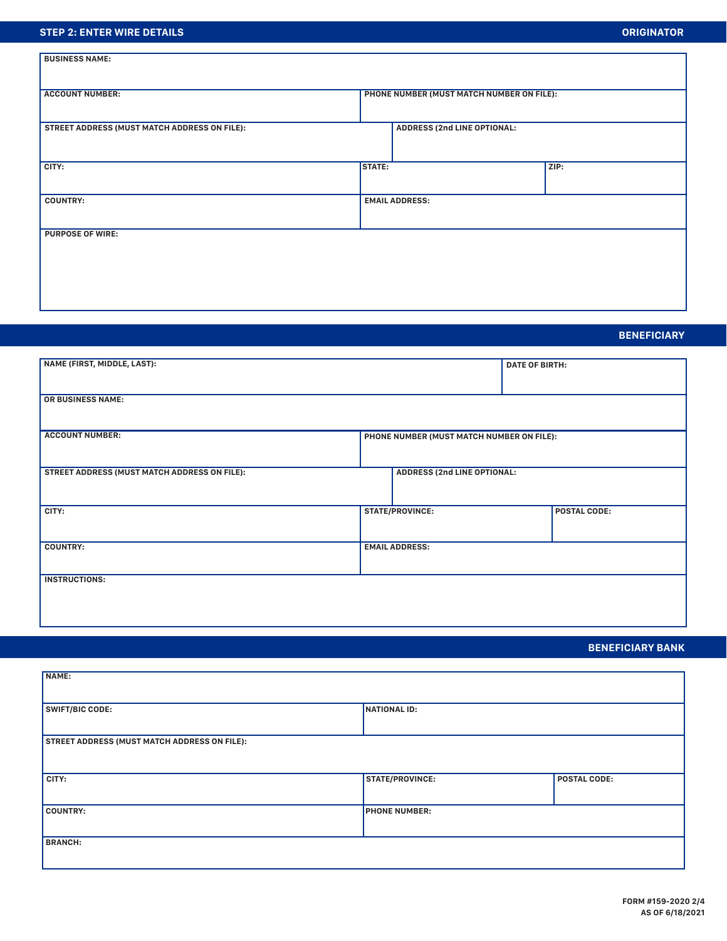### **STEP 2: ENTER WIRE DETAILS**

| <b>BUSINESS NAME:</b>                        |                                           |                                    |      |  |  |  |  |
|----------------------------------------------|-------------------------------------------|------------------------------------|------|--|--|--|--|
| <b>ACCOUNT NUMBER:</b>                       | PHONE NUMBER (MUST MATCH NUMBER ON FILE): |                                    |      |  |  |  |  |
| STREET ADDRESS (MUST MATCH ADDRESS ON FILE): |                                           | <b>ADDRESS (2nd LINE OPTIONAL:</b> |      |  |  |  |  |
| CITY:                                        | <b>STATE:</b>                             |                                    | ZIP: |  |  |  |  |
| <b>COUNTRY:</b><br><b>EMAIL ADDRESS:</b>     |                                           |                                    |      |  |  |  |  |
| <b>PURPOSE OF WIRE:</b>                      |                                           |                                    |      |  |  |  |  |
|                                              |                                           |                                    |      |  |  |  |  |
|                                              |                                           |                                    |      |  |  |  |  |

## **BENEFICIARY**

| NAME (FIRST, MIDDLE, LAST):                                         |                        |                                    |  | <b>DATE OF BIRTH:</b> |  |  |  |
|---------------------------------------------------------------------|------------------------|------------------------------------|--|-----------------------|--|--|--|
| <b>OR BUSINESS NAME:</b>                                            |                        |                                    |  |                       |  |  |  |
| <b>ACCOUNT NUMBER:</b><br>PHONE NUMBER (MUST MATCH NUMBER ON FILE): |                        |                                    |  |                       |  |  |  |
| STREET ADDRESS (MUST MATCH ADDRESS ON FILE):                        |                        | <b>ADDRESS (2nd LINE OPTIONAL:</b> |  |                       |  |  |  |
| CITY:                                                               | <b>STATE/PROVINCE:</b> |                                    |  | <b>POSTAL CODE:</b>   |  |  |  |
| <b>COUNTRY:</b><br><b>EMAIL ADDRESS:</b>                            |                        |                                    |  |                       |  |  |  |
| <b>INSTRUCTIONS:</b>                                                |                        |                                    |  |                       |  |  |  |

## **BENEFICIARY BANK**

| NAME:                                               |                        |                     |  |  |  |
|-----------------------------------------------------|------------------------|---------------------|--|--|--|
|                                                     |                        |                     |  |  |  |
| <b>SWIFT/BIC CODE:</b>                              | NATIONAL ID:           |                     |  |  |  |
|                                                     |                        |                     |  |  |  |
|                                                     |                        |                     |  |  |  |
| <b>STREET ADDRESS (MUST MATCH ADDRESS ON FILE):</b> |                        |                     |  |  |  |
|                                                     |                        |                     |  |  |  |
|                                                     |                        |                     |  |  |  |
| CITY:                                               | <b>STATE/PROVINCE:</b> | <b>POSTAL CODE:</b> |  |  |  |
|                                                     |                        |                     |  |  |  |
|                                                     |                        |                     |  |  |  |
| <b>COUNTRY:</b>                                     | <b>PHONE NUMBER:</b>   |                     |  |  |  |
|                                                     |                        |                     |  |  |  |
| <b>BRANCH:</b>                                      |                        |                     |  |  |  |
|                                                     |                        |                     |  |  |  |
|                                                     |                        |                     |  |  |  |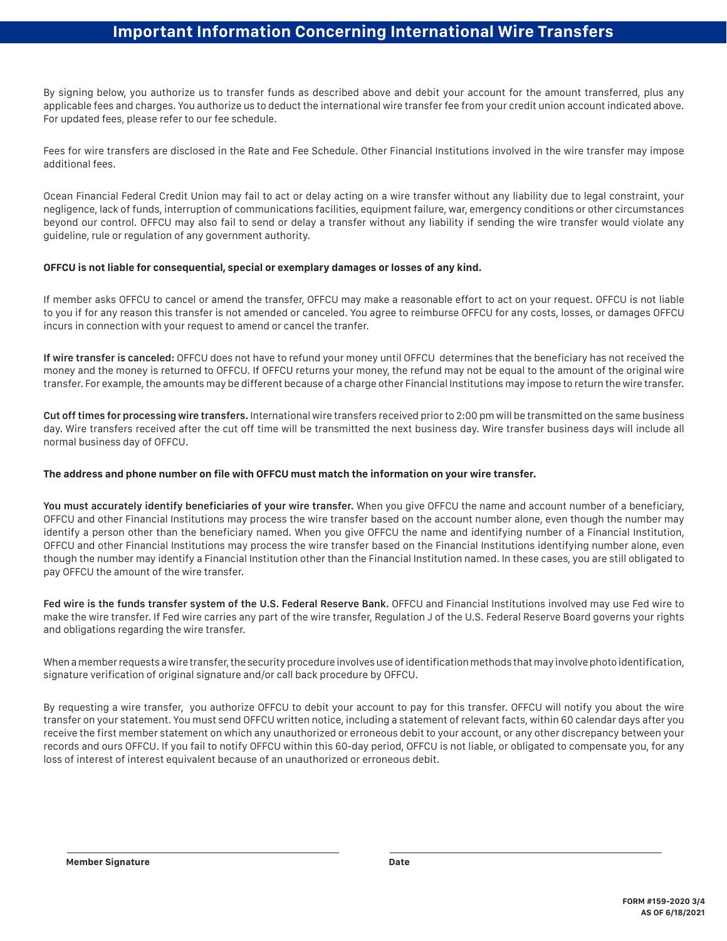## **Important Information Concerning International Wire Transfers**

By signing below, you authorize us to transfer funds as described above and debit your account for the amount transferred, plus any applicable fees and charges. You authorize us to deduct the international wire transfer fee from your credit union account indicated above. For updated fees, please refer to our fee schedule.

Fees for wire transfers are disclosed in the Rate and Fee Schedule. Other Financial Institutions involved in the wire transfer may impose additional fees.

Ocean Financial Federal Credit Union may fail to act or delay acting on a wire transfer without any liability due to legal constraint, your negligence, lack of funds, interruption of communications facilities, equipment failure, war, emergency conditions or other circumstances beyond our control. OFFCU may also fail to send or delay a transfer without any liability if sending the wire transfer would violate any guideline, rule or regulation of any government authority.

#### **OFFCU is not liable for consequential, special or exemplary damages or losses of any kind.**

If member asks OFFCU to cancel or amend the transfer, OFFCU may make a reasonable effort to act on your request. OFFCU is not liable to you if for any reason this transfer is not amended or canceled. You agree to reimburse OFFCU for any costs, losses, or damages OFFCU incurs in connection with your request to amend or cancel the tranfer.

**If wire transfer is canceled:** OFFCU does not have to refund your money until OFFCU determines that the beneficiary has not received the money and the money is returned to OFFCU. If OFFCU returns your money, the refund may not be equal to the amount of the original wire transfer. For example, the amounts may be different because of a charge other Financial Institutions may impose to return the wire transfer.

**Cut off times for processing wire transfers.** International wire transfers received prior to 2:00 pm will be transmitted on the same business day. Wire transfers received after the cut off time will be transmitted the next business day. Wire transfer business days will include all normal business day of OFFCU.

### **The address and phone number on file with OFFCU must match the information on your wire transfer.**

**You must accurately identify beneficiaries of your wire transfer.** When you give OFFCU the name and account number of a beneficiary, OFFCU and other Financial Institutions may process the wire transfer based on the account number alone, even though the number may identify a person other than the beneficiary named. When you give OFFCU the name and identifying number of a Financial Institution, OFFCU and other Financial Institutions may process the wire transfer based on the Financial Institutions identifying number alone, even though the number may identify a Financial Institution other than the Financial Institution named. In these cases, you are still obligated to pay OFFCU the amount of the wire transfer.

Fed wire is the funds transfer system of the U.S. Federal Reserve Bank. OFFCU and Financial Institutions involved may use Fed wire to make the wire transfer. If Fed wire carries any part of the wire transfer, Regulation J of the U.S. Federal Reserve Board governs your rights and obligations regarding the wire transfer.

When a member requests a wire transfer, the security procedure involves use of identification methods that may involve photo identification, signature verification of original signature and/or call back procedure by OFFCU.

By requesting a wire transfer, you authorize OFFCU to debit your account to pay for this transfer. OFFCU will notify you about the wire transfer on your statement. You must send OFFCU written notice, including a statement of relevant facts, within 60 calendar days after you receive the first member statement on which any unauthorized or erroneous debit to your account, or any other discrepancy between your records and ours OFFCU. If you fail to notify OFFCU within this 60-day period, OFFCU is not liable, or obligated to compensate you, for any loss of interest of interest equivalent because of an unauthorized or erroneous debit.